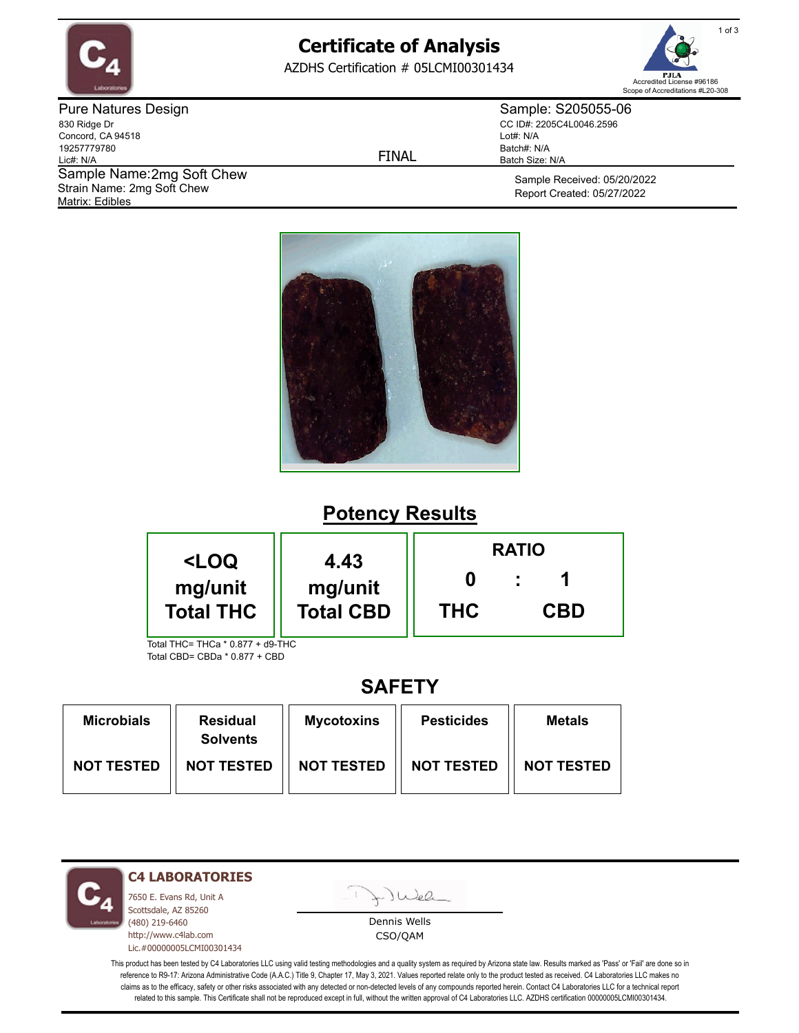

# **Certificate of Analysis**

AZDHS Certification # 05LCMI00301434



Pure Natures Design 830 Ridge Dr Concord, CA 94518 19257779780 Lic#: N/A Matrix: Edibles Sample Name: 2mg Soft Chew Strain Name: 2mg Soft Chew

FINAL

Sample: S205055-06 CC ID#: 2205C4L0046.2596 Lot#: N/A Batch#: N/A Batch Size: N/A

> Sample Received: 05/20/2022 Report Created: 05/27/2022



# **Potency Results**

| <loq< th=""><th>4.43</th><th colspan="3"><b>RATIO</b></th></loq<>            | 4.43             | <b>RATIO</b> |            |  |
|------------------------------------------------------------------------------|------------------|--------------|------------|--|
| mg/unit                                                                      | mg/unit          |              |            |  |
| <b>Total THC</b><br>$T_{\alpha}$ tal TUC – TUC $_{\alpha}$ * 0.977 + d0. TUC | <b>Total CBD</b> | <b>THC</b>   | <b>CBD</b> |  |

Total THC= THCa \* 0.877 + d9-THC Total CBD= CBDa \* 0.877 + CBD

### **SAFETY**

| <b>Microbials</b> | <b>Residual</b><br><b>Solvents</b> | <b>Mycotoxins</b> | <b>Pesticides</b> | Metals            |
|-------------------|------------------------------------|-------------------|-------------------|-------------------|
| <b>NOT TESTED</b> | <b>NOT TESTED</b>                  | <b>NOT TESTED</b> | <b>NOT TESTED</b> | <b>NOT TESTED</b> |



**C4 LABORATORIES**

7650 E. Evans Rd, Unit A Scottsdale, AZ 85260 (480) 219-6460 http://www.c4lab.com Lic.#00000005LCMI00301434 - Juea

Dennis Wells CSO/QAM

This product has been tested by C4 Laboratories LLC using valid testing methodologies and a quality system as required by Arizona state law. Results marked as 'Pass' or 'Fail' are done so in reference to R9-17: Arizona Administrative Code (A.A.C.) Title 9, Chapter 17, May 3, 2021. Values reported relate only to the product tested as received. C4 Laboratories LLC makes no claims as to the efficacy, safety or other risks associated with any detected or non-detected levels of any compounds reported herein. Contact C4 Laboratories LLC for a technical report related to this sample. This Certificate shall not be reproduced except in full, without the written approval of C4 Laboratories LLC. AZDHS certification 00000005LCMI00301434.

1 of 3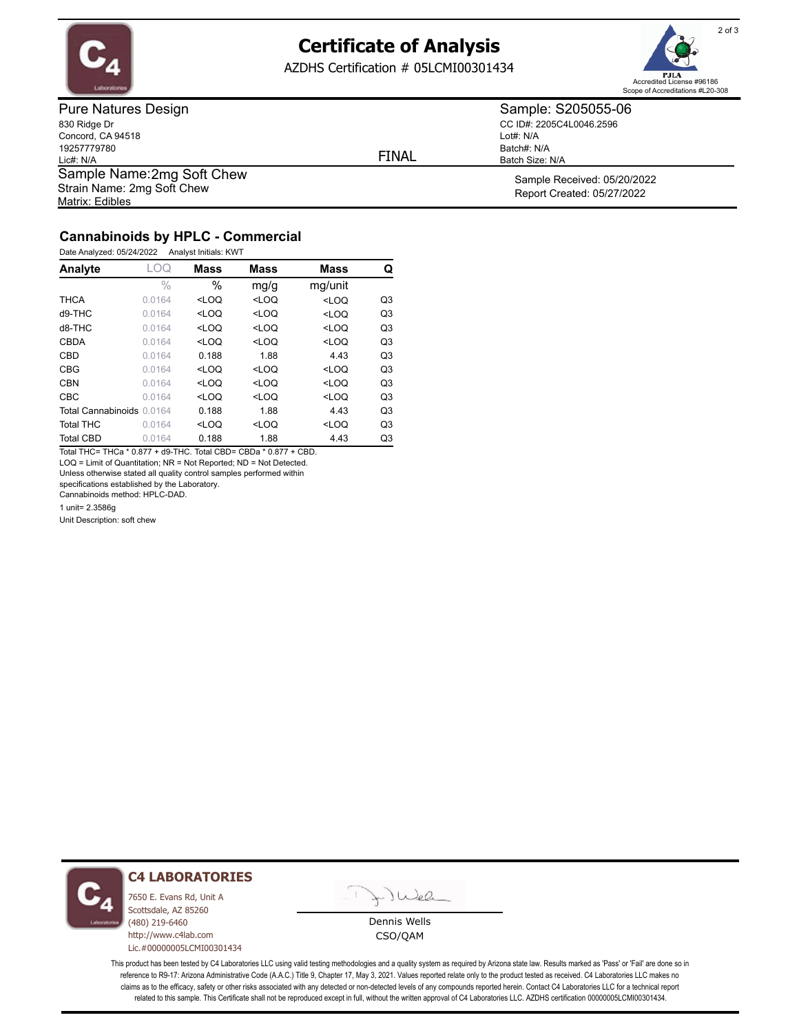

### **Certificate of Analysis**

AZDHS Certification # 05LCMI00301434



Pure Natures Design 830 Ridge Dr Concord, CA 94518 19257779780 Lic#: N/A Matrix: Edibles Sample Name: 2mg Soft Chew Strain Name: 2mg Soft Chew

FINAL

Lot#: N/A

Batch#: N/A Batch Size: N/A

Sample: S205055-06 CC ID#: 2205C4L0046.2596

> Sample Received: 05/20/2022 Report Created: 05/27/2022

### **Cannabinoids by HPLC - Commercial**

Date Analyzed: 05/24/2022 Analyst Initials: KWT

| Analyte                   | _OQ           | <b>Mass</b> | <b>Mass</b> | <b>Mass</b>                               | Q              |
|---------------------------|---------------|-------------|-------------|-------------------------------------------|----------------|
|                           | $\frac{0}{0}$ | $\%$        | mg/g        | mg/unit                                   |                |
| <b>THCA</b>               | 0.0164        | $<$ LOQ     | $<$ LOQ     | $<$ LOQ                                   | Q <sub>3</sub> |
| d9-THC                    | 0.0164        | $<$ LOQ     | $<$ LOQ     | <loq< td=""><td>Q<sub>3</sub></td></loq<> | Q <sub>3</sub> |
| $d8-THC$                  | 0.0164        | $<$ LOQ     | $<$ LOQ     | $<$ LOQ                                   | Q <sub>3</sub> |
| <b>CBDA</b>               | 0.0164        | $<$ LOQ     | $<$ LOQ     | $<$ LOQ                                   | Q <sub>3</sub> |
| CBD                       | 0.0164        | 0.188       | 1.88        | 4.43                                      | Q <sub>3</sub> |
| <b>CBG</b>                | 0.0164        | $<$ LOQ     | $<$ LOQ     | $<$ LOQ                                   | Q <sub>3</sub> |
| <b>CBN</b>                | 0.0164        | $<$ LOQ     | $<$ LOQ     | $<$ LOQ                                   | Q <sub>3</sub> |
| <b>CBC</b>                | 0.0164        | $<$ LOO     | $<$ LOQ     | $<$ LOQ                                   | Q <sub>3</sub> |
| Total Cannabinoids 0.0164 |               | 0.188       | 1.88        | 4.43                                      | Q <sub>3</sub> |
| <b>Total THC</b>          | 0.0164        | $<$ LOQ     | $<$ LOQ     | $<$ LOQ                                   | Q <sub>3</sub> |
| <b>Total CBD</b>          | 0.0164        | 0.188       | 1.88        | 4.43                                      | Q3             |

Total THC= THCa \* 0.877 + d9-THC. Total CBD= CBDa \* 0.877 + CBD. LOQ = Limit of Quantitation; NR = Not Reported; ND = Not Detected.

Unless otherwise stated all quality control samples performed within

specifications established by the Laboratory.

Cannabinoids method: HPLC-DAD.

1 unit= 2.3586g

Unit Description: soft chew



#### **C4 LABORATORIES**

7650 E. Evans Rd, Unit A Scottsdale, AZ 85260 (480) 219-6460 http://www.c4lab.com Lic.#00000005LCMI00301434



Dennis Wells CSO/QAM

This product has been tested by C4 Laboratories LLC using valid testing methodologies and a quality system as required by Arizona state law. Results marked as 'Pass' or 'Fail' are done so in reference to R9-17: Arizona Administrative Code (A.A.C.) Title 9, Chapter 17, May 3, 2021. Values reported relate only to the product tested as received. C4 Laboratories LLC makes no claims as to the efficacy, safety or other risks associated with any detected or non-detected levels of any compounds reported herein. Contact C4 Laboratories LLC for a technical report related to this sample. This Certificate shall not be reproduced except in full, without the written approval of C4 Laboratories LLC. AZDHS certification 00000005LCMI00301434.